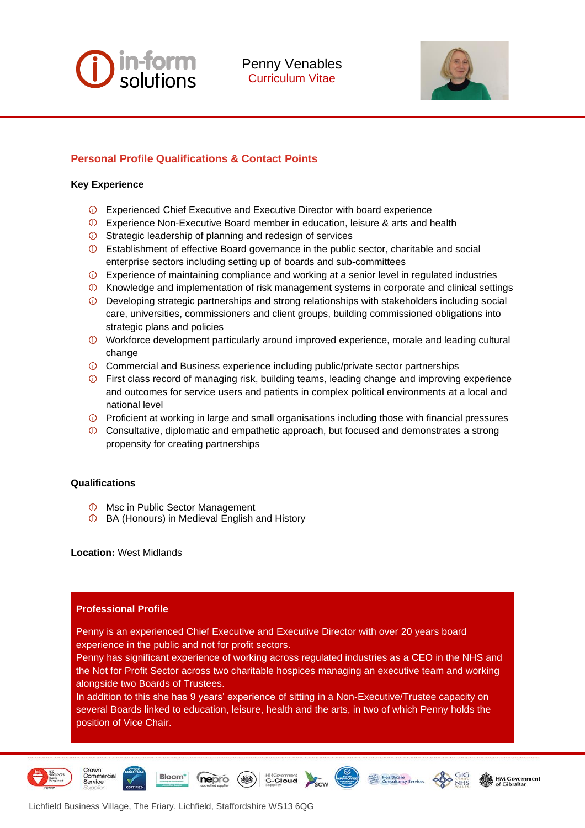# **in-form**<br>solutions



# **Personal Profile Qualifications & Contact Points**

# **Key Experience**

- Experienced Chief Executive and Executive Director with board experience
- Experience Non-Executive Board member in education, leisure & arts and health
- Strategic leadership of planning and redesign of services
- Establishment of effective Board governance in the public sector, charitable and social enterprise sectors including setting up of boards and sub-committees
- Experience of maintaining compliance and working at a senior level in regulated industries
- Knowledge and implementation of risk management systems in corporate and clinical settings
- $\Phi$  Developing strategic partnerships and strong relationships with stakeholders including social care, universities, commissioners and client groups, building commissioned obligations into strategic plans and policies
- Workforce development particularly around improved experience, morale and leading cultural change
- Commercial and Business experience including public/private sector partnerships
- First class record of managing risk, building teams, leading change and improving experience and outcomes for service users and patients in complex political environments at a local and national level
- $<sup>①</sup>$  Proficient at working in large and small organisations including those with financial pressures</sup>
- Consultative, diplomatic and empathetic approach, but focused and demonstrates a strong propensity for creating partnerships

# **Qualifications**

- *O* Msc in Public Sector Management
- **1** BA (Honours) in Medieval English and History

# **Location:** West Midlands

# **Professional Profile**

Penny is an experienced Chief Executive and Executive Director with over 20 years board experience in the public and not for profit sectors.

Penny has significant experience of working across regulated industries as a CEO in the NHS and the Not for Profit Sector across two charitable hospices managing an executive team and working alongside two Boards of Trustees.

In addition to this she has 9 years' experience of sitting in a Non-Executive/Trustee capacity on several Boards linked to education, leisure, health and the arts, in two of which Penny holds the position of Vice Chair.











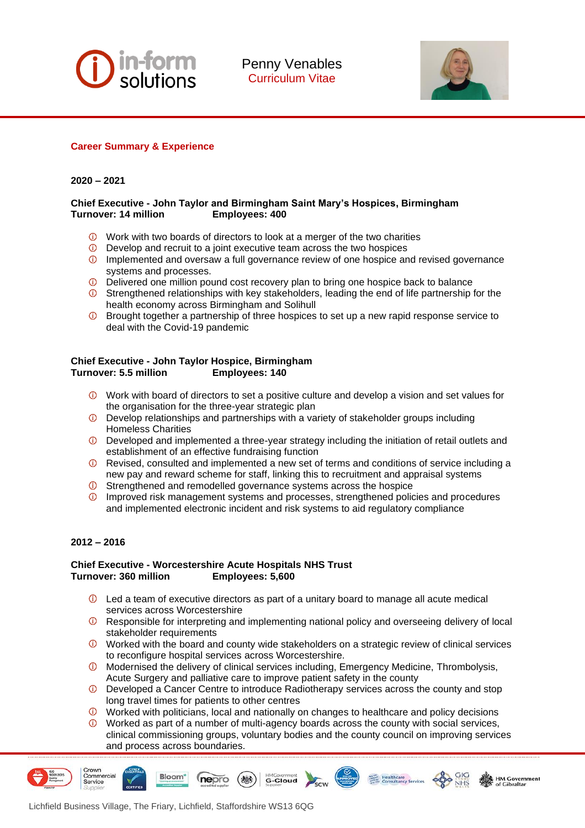



# **Career Summary & Experience**

### **2020 – 2021**

### **Chief Executive - John Taylor and Birmingham Saint Mary's Hospices, Birmingham Turnover: 14 million**

- $\overline{0}$  Work with two boards of directors to look at a merger of the two charities
- $\overline{0}$  Develop and recruit to a joint executive team across the two hospices
- $\circled{1}$  Implemented and oversaw a full governance review of one hospice and revised governance systems and processes.
- Delivered one million pound cost recovery plan to bring one hospice back to balance
- Strengthened relationships with key stakeholders, leading the end of life partnership for the health economy across Birmingham and Solihull
- Brought together a partnership of three hospices to set up a new rapid response service to deal with the Covid-19 pandemic

### **Chief Executive - John Taylor Hospice, Birmingham Turnover: 5.5 million Employees: 140**

- $\Phi$  Work with board of directors to set a positive culture and develop a vision and set values for the organisation for the three-year strategic plan
- $\Phi$  Develop relationships and partnerships with a variety of stakeholder groups including Homeless Charities
- Developed and implemented a three-year strategy including the initiation of retail outlets and establishment of an effective fundraising function
- $\circledcirc$ Revised, consulted and implemented a new set of terms and conditions of service including a new pay and reward scheme for staff, linking this to recruitment and appraisal systems
- Strengthened and remodelled governance systems across the hospice
- $\circledcirc$ Improved risk management systems and processes, strengthened policies and procedures and implemented electronic incident and risk systems to aid regulatory compliance

# **2012 – 2016**

#### **Chief Executive - Worcestershire Acute Hospitals NHS Trust Turnover: 360 million Employees: 5,600**

nepro

- $\circled{1}$  Led a team of executive directors as part of a unitary board to manage all acute medical services across Worcestershire
- Responsible for interpreting and implementing national policy and overseeing delivery of local stakeholder requirements
- $\overline{0}$  Worked with the board and county wide stakeholders on a strategic review of clinical services to reconfigure hospital services across Worcestershire.
- Modernised the delivery of clinical services including, Emergency Medicine, Thrombolysis, Acute Surgery and palliative care to improve patient safety in the county
- Developed a Cancer Centre to introduce Radiotherapy services across the county and stop long travel times for patients to other centres
- $\overline{0}$  Worked with politicians, local and nationally on changes to healthcare and policy decisions
- $\circledcirc$ Worked as part of a number of multi-agency boards across the county with social services, clinical commissioning groups, voluntary bodies and the county council on improving services and process across boundaries.





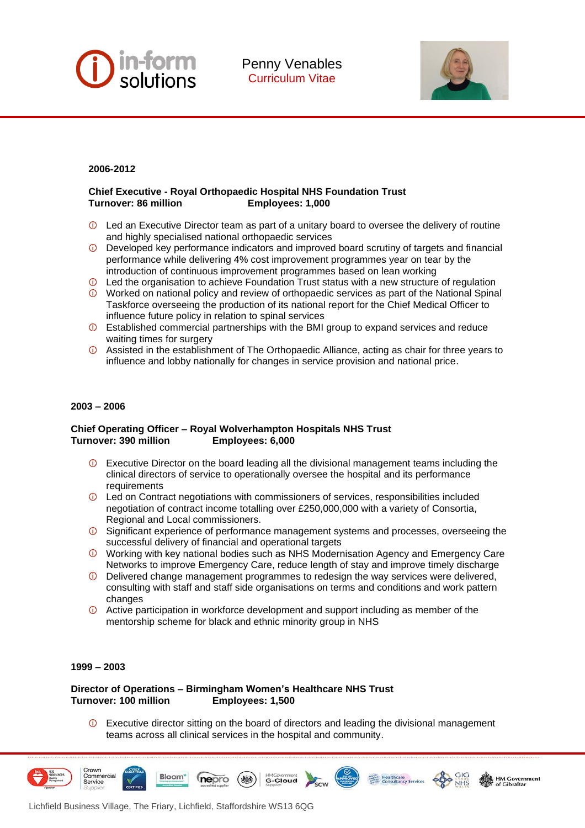

Penny Venables Curriculum Vitae



#### **2006-2012**

#### **Chief Executive - Royal Orthopaedic Hospital NHS Foundation Trust Turnover: 86 million**

- Led an Executive Director team as part of a unitary board to oversee the delivery of routine and highly specialised national orthopaedic services
- Developed key performance indicators and improved board scrutiny of targets and financial performance while delivering 4% cost improvement programmes year on tear by the introduction of continuous improvement programmes based on lean working
- $\Phi$  Led the organisation to achieve Foundation Trust status with a new structure of regulation
- Worked on national policy and review of orthopaedic services as part of the National Spinal Taskforce overseeing the production of its national report for the Chief Medical Officer to influence future policy in relation to spinal services
- Established commercial partnerships with the BMI group to expand services and reduce waiting times for surgery
- Assisted in the establishment of The Orthopaedic Alliance, acting as chair for three years to influence and lobby nationally for changes in service provision and national price.

#### **2003 – 2006**

#### **Chief Operating Officer – Royal Wolverhampton Hospitals NHS Trust Turnover: 390 million Employees: 6,000**

- Executive Director on the board leading all the divisional management teams including the  $\circledcirc$ clinical directors of service to operationally oversee the hospital and its performance requirements
- $\circledcirc$ Led on Contract negotiations with commissioners of services, responsibilities included negotiation of contract income totalling over £250,000,000 with a variety of Consortia, Regional and Local commissioners.
- $\circledcirc$ Significant experience of performance management systems and processes, overseeing the successful delivery of financial and operational targets
- Working with key national bodies such as NHS Modernisation Agency and Emergency Care Networks to improve Emergency Care, reduce length of stay and improve timely discharge
- Delivered change management programmes to redesign the way services were delivered, consulting with staff and staff side organisations on terms and conditions and work pattern changes
- $\Phi$  Active participation in workforce development and support including as member of the mentorship scheme for black and ethnic minority group in NHS

#### **1999 – 2003**

#### **Director of Operations – Birmingham Women's Healthcare NHS Trust Turnover: 100 million Employees: 1,500**

Executive director sitting on the board of directors and leading the divisional management teams across all clinical services in the hospital and community.



Lichfield Business Village, The Friary, Lichfield, Staffordshire WS13 6QG